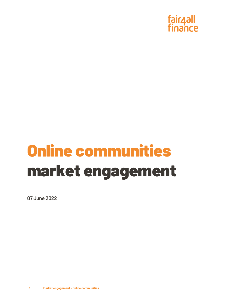

# Online communities market engagement

**07 June 2022**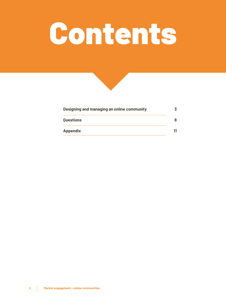# Contents



| Designing and managing an online community |  |
|--------------------------------------------|--|
| <b>Questions</b>                           |  |
| <b>Appendix</b>                            |  |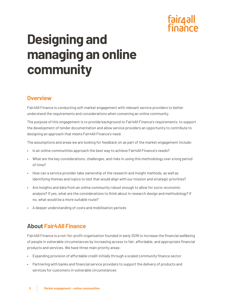

### <span id="page-2-0"></span>**Designing and managing an online community**

#### **Overview**

Fair4All Finance is conducting soft market engagement with relevant service providers to better understand the requirements and considerations when convening an online community.

The purpose of this engagement is to provide background to Fair4All Finance's requirements, to support the development of tender documentation and allow service providers an opportunity to contribute to designing an approach that meets Fair4All Finance's need.

The assumptions and areas we are looking for feedback on as part of the market engagement include:

- Is an online communities approach the best way to achieve Fair4All Finance's needs?
- What are the key considerations, challenges, and risks in using this methodology over a long period of time?
- How can a service provider take ownership of the research and insight methods, as well as identifying themes and topics to test that would align with our mission and strategic priorities?
- Are insights and data from an online community robust enough to allow for socio-economic analysis? If yes, what are the considerations to think about in research design and methodology? If no, what would be a more suitable route?
- A deeper understanding of costs and mobilisation periods

#### **About Fair4All Finance**

Fair4All Finance is a not-for-profit organisation founded in early 2019 to increase the financial wellbeing of people in vulnerable circumstances by increasing access to fair, affordable, and appropriate financial products and services. We have three main priority areas:

- Expanding provision of affordable credit initially through a scaled community finance sector
- Partnering with banks and financial service providers to support the delivery of products and services for customers in vulnerable circumstances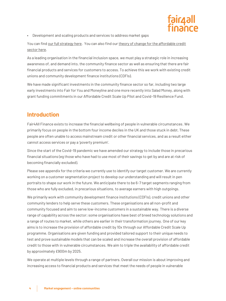

• Development and scaling products and services to address market gaps

You can fin[d our full strategy here.](https://fair4allfinance.org.uk/news/introducing-our-refreshed-strategy/) You can also find our theory of change for the affordable credit [sector here.](https://fair4allfinance.org.uk/wp-content/uploads/2020/07/THEORY-OF-CHANGE.pdf)

As a leading organisation in the financial inclusion space, we must play a strategic role in increasing awareness of, and demand into, the community finance sector as well as ensuring that there are fair financial products and services for customers to access. To achieve this we work with existing credit unions and community development finance institutions (CDFIs).

We have made significant investments in the community finance sector so far, including two large early investments into Fair for You and Moneyline and one more recently into Salad Money, along with grant funding commitments in our Affordable Credit Scale Up Pilot and Covid-19 Resilience Fund.

#### **Introduction**

Fair4All Finance exists to increase the financial wellbeing of people in vulnerable circumstances. We primarily focus on people in the bottom four income deciles in the UK and those stuck in debt. These people are often unable to access mainstream credit or other financial services, and as a result either cannot access services or pay a 'poverty premium'.

Since the start of the Covid-19 pandemic we have amended our strategy to include those in precarious financial situations (eg those who have had to use most of their savings to get by and are at risk of becoming financially excluded).

Please see appendix for the criteria we currently use to identify our target customer. We are currently working on a customer segmentation project to develop our understanding and will result in pen portraits to shape our work in the future. We anticipate there to be 6-7 target segments ranging from those who are fully excluded, in precarious situations, to average earners with high outgoings.

We primarily work with community development finance institutions (CDFIs), credit unions and other community lenders to help serve these customers. These organisations are all non-profit and community focused and aim to serve low-income customers in a sustainable way. There is a diverse range of capability across the sector; some organisations have best of breed technology solutions and a range of routes to market, while others are earlier in their transformation journey. One of our key aims is to increase the provision of affordable credit by 10x through our Affordable Credit Scale Up programme. Organisations are given funding and provided tailored support to their unique needs to test and prove sustainable models that can be scaled and increase the overall provision of affordable credit to those with in vulnerable circumstances. We aim to triple the availability of affordable credit by approximately £900m by 2025.

We operate at multiple levels through a range of partners. Overall our mission is about improving and increasing access to financial products and services that meet the needs of people in vulnerable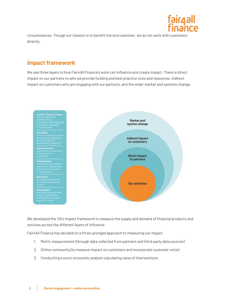

circumstances. Though our mission is to benefit the end customer, we do not work with customers directly.

#### **Impact framework**

We see three layers to how Fair4All Finance's work can influence and create impact. There is direct impact on our partners to who we provide funding and best practice tools and resources, indirect impact on customers who are engaging with our partners, and the wider market and systems change.



We developed the '5A's impact framework to measure the supply and demand of financial products and services across the different layers of influence.

Fair4All Finance has decided on a three-pronged approach to measuring our impact.

- 1. Metric measurement (through data collected from partners and third-party data sources)
- 2. Online community (to measure impact on customers and incorporate customer voice)
- 3. Conducting a socio-economic analysis calculating value of interventions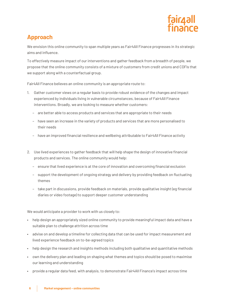

#### **Approach**

We envision this online community to span multiple years as Fair4All Finance progresses in its strategic aims and influence.

To effectively measure impact of our interventions and gather feedback from a breadth of people, we propose that the online community consists of a mixture of customers from credit unions and CDFIs that we support along with a counterfactual group.

Fair4All Finance believes an online community is an appropriate route to:

- 1. Gather customer views on a regular basis to provide robust evidence of the changes and impact experienced by individuals living in vulnerable circumstances, because of Fair4All Finance interventions. Broadly, we are looking to measure whether customers:
	- are better able to access products and services that are appropriate to their needs
	- have seen an increase in the variety of products and services that are more personalised to their needs
	- have an improved financial resilience and wellbeing attributable to Fair4All Finance activity
- 2. Use lived experiences to gather feedback that will help shape the design of innovative financial products and services. The online community would help:
	- ensure that lived experience is at the core of innovation and overcoming financial exclusion
	- support the development of ongoing strategy and delivery by providing feedback on fluctuating themes
	- take part in discussions, provide feedback on materials, provide qualitative insight (eg financial diaries or video footage) to support deeper customer understanding

We would anticipate a provider to work with us closely to:

- help design an appropriately sized online community to provide meaningful impact data and have a suitable plan to challenge attrition across time
- advise on and develop a timeline for collecting data that can be used for impact measurement and lived experience feedback on to-be-agreed topics
- help design the research and insights methods including both qualitative and quantitative methods
- own the delivery plan and leading on shaping what themes and topics should be posed to maximise our learning and understanding
- provide a regular data feed, with analysis, to demonstrate Fair4All Finance's impact across time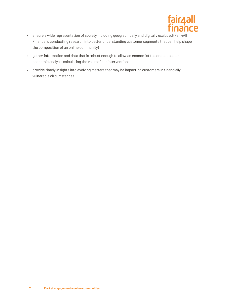

- ensure a wide representation of society including geographically and digitally excluded (Fair4All Finance is conducting research into better understanding customer segments that can help shape the composition of an online community)
- gather information and data that is robust enough to allow an economist to conduct socioeconomic analysis calculating the value of our interventions
- provide timely insights into evolving matters that may be impacting customers in financially vulnerable circumstances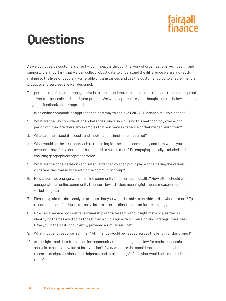

### <span id="page-7-0"></span>**Questions**

As we do not serve customers directly, our impact is through the work of organisations we invest in and support. It is important that we can collect robust data to understand the difference we are indirectly making to the lives of people in vulnerable circumstances and use the customer voice to ensure financial products and services are well designed.

The purpose of this market engagement is to better understand the process, time and resource required to deliver a large-scale and multi-year project. We would appreciate your thoughts on the below questions to gather feedback on our approach.

- 1. Is an online communities approach the best way to achieve Fair4All Finance's multiple needs?
- 2. What are the key considerations, challenges, and risks in using this methodology over a long period of time? Are there any examples that you have experience of that we can learn from?
- 3. What are the associated costs and mobilisation timeframes required?
- 4. What would be the best approach to recruiting for the online community and how would you overcome any risks/challenges associated to recruitment? Eg engaging digitally excluded and ensuring geographical representation
- 5. What are the considerations and safeguards that you can put in place considering the various vulnerabilities that may be within the community group?
- 6. How should we engage with an online community to ensure data quality? How often should we engage with an online community to ensure low attrition, meaningful impact measurement, and varied insights?
- 7. Please explain the data analysis process that you would be able to provide and in what formats? Eg to communicate findings externally, inform internal discussions on future strategy
- 8. How can a service provider take ownership of the research and insight methods, as well as identifying themes and topics to test that would align with our mission and strategic priorities? Have you in the past, or currently, provided a similar service?
- 9. What input and resource from Fair4All Finance would be needed across the length of this project?
- 10. Are insights and data from an online community robust enough to allow for socio-economic analysis to calculate value of intervention? If yes, what are the considerations to think about in research design, number of participants, and methodology? If no, what would be a more suitable route?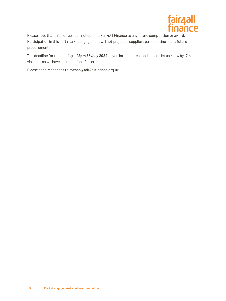

Please note that this notice does not commit Fair4All Finance to any future competition or award. Participation in this soft market engagement will not prejudice suppliers participating in any future procurement.

The deadline for responding is **12pm 8 th July 2022**. If you intend to respond, please let us know by 17th June via email so we have an indication of interest.

Please send responses to avesha@fair4allfinance.org.uk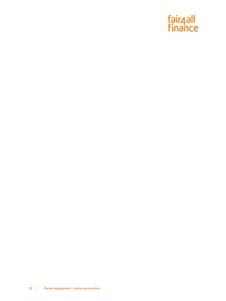